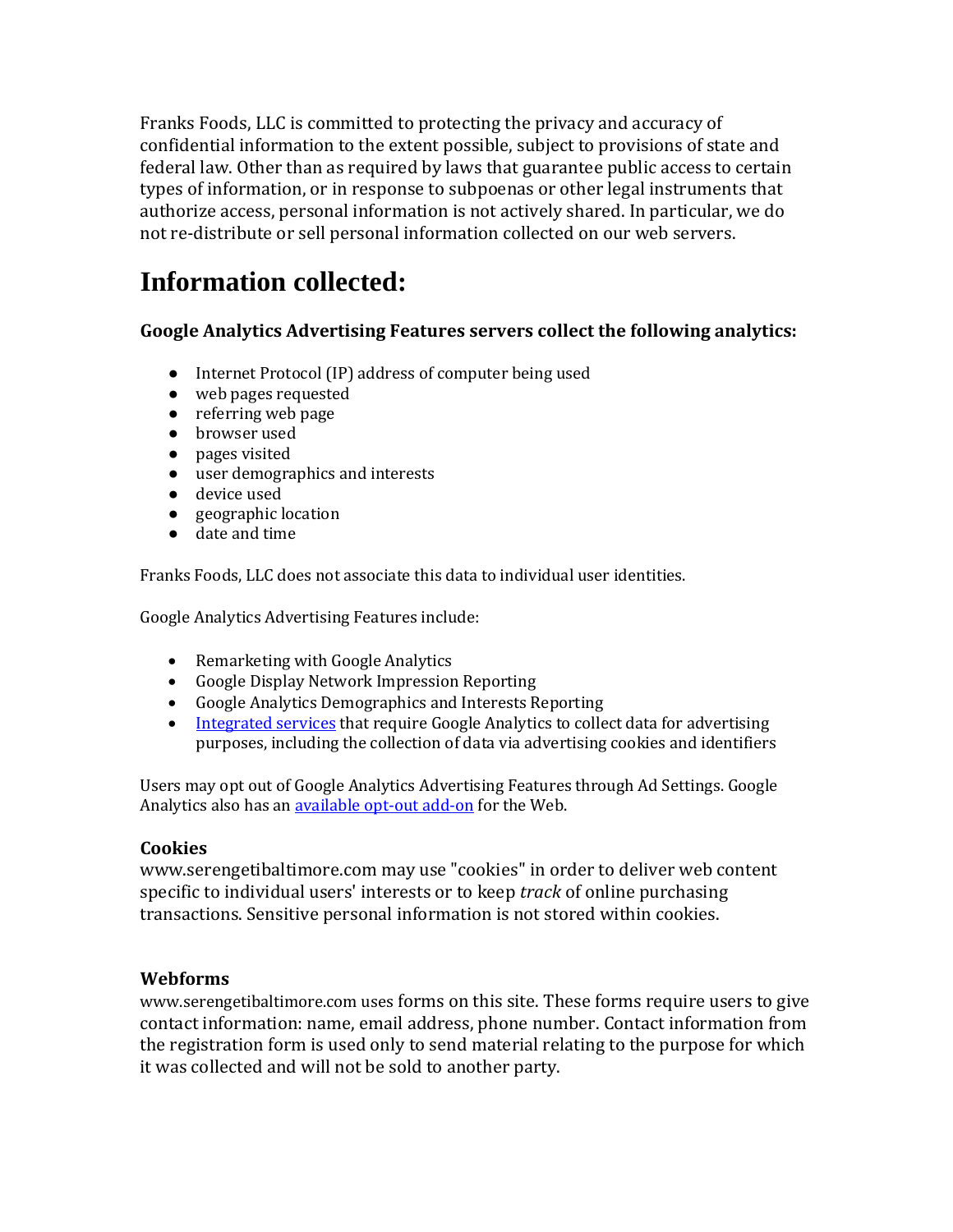Franks Foods, LLC is committed to protecting the privacy and accuracy of confidential information to the extent possible, subject to provisions of state and federal law. Other than as required by laws that guarantee public access to certain types of information, or in response to subpoenas or other legal instruments that authorize access, personal information is not actively shared. In particular, we do not re-distribute or sell personal information collected on our web servers.

# **Information collected:**

#### **Google Analytics Advertising Features servers collect the following analytics:**

- Internet Protocol (IP) address of computer being used
- web pages requested
- referring web page
- browser used
- pages visited
- user demographics and interests
- device used
- geographic location
- date and time

Franks Foods, LLC does not associate this data to individual user identities.

Google Analytics Advertising Features include:

- Remarketing with Google Analytics
- Google Display Network Impression Reporting
- Google Analytics Demographics and Interests Reporting
- [Integrated services](https://support.google.com/analytics/answer/7011855?authuser=4) that require Google Analytics to collect data for advertising purposes, including the collection of data via advertising cookies and identifiers

Users may opt out of Google Analytics Advertising Features through Ad Settings. Google Analytics also has a[n available opt-out add-on](https://tools.google.com/dlpage/gaoptout/) for the Web.

#### **Cookies**

www.serengetibaltimore.com may use "cookies" in order to deliver web content specific to individual users' interests or to keep *track* of online purchasing transactions. Sensitive personal information is not stored within cookies.

#### **Webforms**

www.serengetibaltimore.com uses forms on this site. These forms require users to give contact information: name, email address, phone number. Contact information from the registration form is used only to send material relating to the purpose for which it was collected and will not be sold to another party.